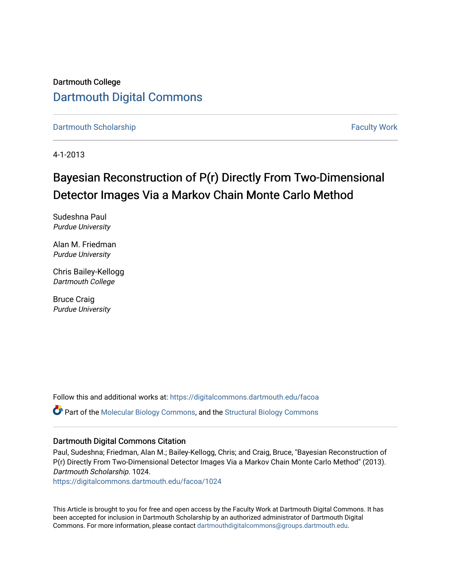## Dartmouth College [Dartmouth Digital Commons](https://digitalcommons.dartmouth.edu/)

[Dartmouth Scholarship](https://digitalcommons.dartmouth.edu/facoa) [Faculty Work](https://digitalcommons.dartmouth.edu/faculty) and The Basic Scholarship Faculty Work Faculty Work

4-1-2013

# Bayesian Reconstruction of P(r) Directly From Two-Dimensional Detector Images Via a Markov Chain Monte Carlo Method

Sudeshna Paul Purdue University

Alan M. Friedman Purdue University

Chris Bailey-Kellogg Dartmouth College

Bruce Craig Purdue University

Follow this and additional works at: [https://digitalcommons.dartmouth.edu/facoa](https://digitalcommons.dartmouth.edu/facoa?utm_source=digitalcommons.dartmouth.edu%2Ffacoa%2F1024&utm_medium=PDF&utm_campaign=PDFCoverPages) Part of the [Molecular Biology Commons](http://network.bepress.com/hgg/discipline/5?utm_source=digitalcommons.dartmouth.edu%2Ffacoa%2F1024&utm_medium=PDF&utm_campaign=PDFCoverPages), and the [Structural Biology Commons](http://network.bepress.com/hgg/discipline/6?utm_source=digitalcommons.dartmouth.edu%2Ffacoa%2F1024&utm_medium=PDF&utm_campaign=PDFCoverPages)

#### Dartmouth Digital Commons Citation

Paul, Sudeshna; Friedman, Alan M.; Bailey-Kellogg, Chris; and Craig, Bruce, "Bayesian Reconstruction of P(r) Directly From Two-Dimensional Detector Images Via a Markov Chain Monte Carlo Method" (2013). Dartmouth Scholarship. 1024.

[https://digitalcommons.dartmouth.edu/facoa/1024](https://digitalcommons.dartmouth.edu/facoa/1024?utm_source=digitalcommons.dartmouth.edu%2Ffacoa%2F1024&utm_medium=PDF&utm_campaign=PDFCoverPages) 

This Article is brought to you for free and open access by the Faculty Work at Dartmouth Digital Commons. It has been accepted for inclusion in Dartmouth Scholarship by an authorized administrator of Dartmouth Digital Commons. For more information, please contact [dartmouthdigitalcommons@groups.dartmouth.edu](mailto:dartmouthdigitalcommons@groups.dartmouth.edu).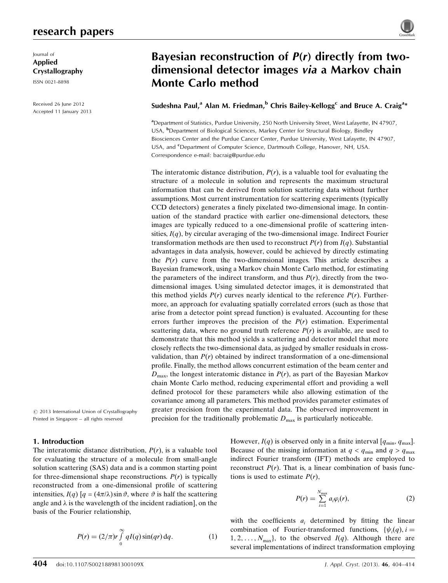### research papers

Journal of Applied Crystallography

ISSN 0021-8898

Received 26 June 2012 Accepted 11 January 2013

# Bayesian reconstruction of  $P(r)$  directly from twodimensional detector images via a Markov chain Monte Carlo method

### Sudeshna Paul, $^{\rm a}$  Alan M. Friedman, $^{\rm b}$  Chris Bailey-Kellogg $^{\rm c}$  and Bruce A. Craig $^{\rm a*}$

<sup>a</sup>Department of Statistics, Purdue University, 250 North University Street, West Lafayette, IN 47907, USA, <sup>b</sup>Department of Biological Sciences, Markey Center for Structural Biology, Bindley Biosciences Center and the Purdue Cancer Center, Purdue University, West Lafayette, IN 47907, USA, and <sup>c</sup>Department of Computer Science, Dartmouth College, Hanover, NH, USA. Correspondence e-mail: [bacraig@purdue.edu](http://scripts.iucr.org/cgi-bin/cr.cgi?rm=pdfbb&cnor=he5586&bbid=BB23)

The interatomic distance distribution,  $P(r)$ , is a valuable tool for evaluating the structure of a molecule in solution and represents the maximum structural information that can be derived from solution scattering data without further assumptions. Most current instrumentation for scattering experiments (typically CCD detectors) generates a finely pixelated two-dimensional image. In continuation of the standard practice with earlier one-dimensional detectors, these images are typically reduced to a one-dimensional profile of scattering intensities,  $I(q)$ , by circular averaging of the two-dimensional image. Indirect Fourier transformation methods are then used to reconstruct  $P(r)$  from  $I(q)$ . Substantial advantages in data analysis, however, could be achieved by directly estimating the  $P(r)$  curve from the two-dimensional images. This article describes a Bayesian framework, using a Markov chain Monte Carlo method, for estimating the parameters of the indirect transform, and thus  $P(r)$ , directly from the twodimensional images. Using simulated detector images, it is demonstrated that this method yields  $P(r)$  curves nearly identical to the reference  $P(r)$ . Furthermore, an approach for evaluating spatially correlated errors (such as those that arise from a detector point spread function) is evaluated. Accounting for these errors further improves the precision of the  $P(r)$  estimation. Experimental scattering data, where no ground truth reference  $P(r)$  is available, are used to demonstrate that this method yields a scattering and detector model that more closely reflects the two-dimensional data, as judged by smaller residuals in crossvalidation, than  $P(r)$  obtained by indirect transformation of a one-dimensional profile. Finally, the method allows concurrent estimation of the beam center and  $D_{\text{max}}$ , the longest interatomic distance in  $P(r)$ , as part of the Bayesian Markov chain Monte Carlo method, reducing experimental effort and providing a well defined protocol for these parameters while also allowing estimation of the covariance among all parameters. This method provides parameter estimates of greater precision from the experimental data. The observed improvement in precision for the traditionally problematic  $D_{\text{max}}$  is particularly noticeable.

 $\odot$  2013 International Union of Crystallography Printed in Singapore – all rights reserved

#### 1. Introduction

The interatomic distance distribution,  $P(r)$ , is a valuable tool for evaluating the structure of a molecule from small-angle solution scattering (SAS) data and is a common starting point for three-dimensional shape reconstructions.  $P(r)$  is typically reconstructed from a one-dimensional profile of scattering intensities,  $I(q)$  [ $q = (4\pi/\lambda) \sin \vartheta$ , where  $\vartheta$  is half the scattering angle and  $\lambda$  is the wavelength of the incident radiation], on the basis of the Fourier relationship,

$$
P(r) = (2/\pi)r \int_{0}^{\infty} qI(q) \sin(qr) dq.
$$
 (1)

However,  $I(q)$  is observed only in a finite interval  $[q_{\min}, q_{\max}]$ . Because of the missing information at  $q < q_{\text{min}}$  and  $q > q_{\text{max}}$ indirect Fourier transform (IFT) methods are employed to reconstruct  $P(r)$ . That is, a linear combination of basis functions is used to estimate  $P(r)$ ,

$$
P(r) = \sum_{i=1}^{N_{\text{max}}} a_i \varphi_i(r), \qquad (2)
$$

with the coefficients  $a_i$  determined by fitting the linear combination of Fourier-transformed functions,  $\{\psi_i(q), i =$  $1, 2, \ldots, N_{\text{max}}\}$ , to the observed  $I(q)$ . Although there are several implementations of indirect transformation employing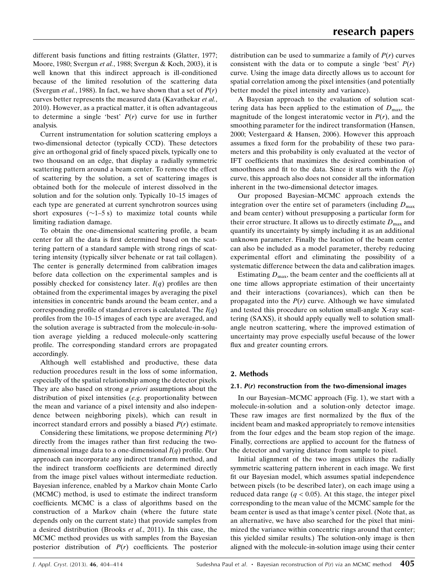different basis functions and fitting restraints (Glatter, 1977; Moore, 1980; Svergun et al., 1988; Svergun & Koch, 2003), it is well known that this indirect approach is ill-conditioned because of the limited resolution of the scattering data (Svergun *et al.*, 1988). In fact, we have shown that a set of  $P(r)$ curves better represents the measured data (Kavathekar et al., 2010). However, as a practical matter, it is often advantageous to determine a single 'best'  $P(r)$  curve for use in further analysis.

Current instrumentation for solution scattering employs a two-dimensional detector (typically CCD). These detectors give an orthogonal grid of finely spaced pixels, typically one to two thousand on an edge, that display a radially symmetric scattering pattern around a beam center. To remove the effect of scattering by the solution, a set of scattering images is obtained both for the molecule of interest dissolved in the solution and for the solution only. Typically 10–15 images of each type are generated at current synchrotron sources using short exposures  $(\sim 1-5 \text{ s})$  to maximize total counts while limiting radiation damage.

To obtain the one-dimensional scattering profile, a beam center for all the data is first determined based on the scattering pattern of a standard sample with strong rings of scattering intensity (typically silver behenate or rat tail collagen). The center is generally determined from calibration images before data collection on the experimental samples and is possibly checked for consistency later.  $I(q)$  profiles are then obtained from the experimental images by averaging the pixel intensities in concentric bands around the beam center, and a corresponding profile of standard errors is calculated. The  $I(q)$ profiles from the 10–15 images of each type are averaged, and the solution average is subtracted from the molecule-in-solution average yielding a reduced molecule-only scattering profile. The corresponding standard errors are propagated accordingly.

Although well established and productive, these data reduction procedures result in the loss of some information, especially of the spatial relationship among the detector pixels. They are also based on strong *a priori* assumptions about the distribution of pixel intensities (e.g. proportionality between the mean and variance of a pixel intensity and also independence between neighboring pixels), which can result in incorrect standard errors and possibly a biased  $P(r)$  estimate.

Considering these limitations, we propose determining  $P(r)$ directly from the images rather than first reducing the twodimensional image data to a one-dimensional  $I(q)$  profile. Our approach can incorporate any indirect transform method, and the indirect transform coefficients are determined directly from the image pixel values without intermediate reduction. Bayesian inference, enabled by a Markov chain Monte Carlo (MCMC) method, is used to estimate the indirect transform coefficients. MCMC is a class of algorithms based on the construction of a Markov chain (where the future state depends only on the current state) that provide samples from a desired distribution (Brooks et al., 2011). In this case, the MCMC method provides us with samples from the Bayesian posterior distribution of  $P(r)$  coefficients. The posterior distribution can be used to summarize a family of  $P(r)$  curves consistent with the data or to compute a single 'best'  $P(r)$ curve. Using the image data directly allows us to account for spatial correlation among the pixel intensities (and potentially better model the pixel intensity and variance).

A Bayesian approach to the evaluation of solution scattering data has been applied to the estimation of  $D_{\text{max}}$ , the magnitude of the longest interatomic vector in  $P(r)$ , and the smoothing parameter for the indirect transformation (Hansen, 2000; Vestergaard & Hansen, 2006). However this approach assumes a fixed form for the probability of these two parameters and this probability is only evaluated at the vector of IFT coefficients that maximizes the desired combination of smoothness and fit to the data. Since it starts with the  $I(q)$ curve, this approach also does not consider all the information inherent in the two-dimensional detector images.

Our proposed Bayesian–MCMC approach extends the integration over the entire set of parameters (including  $D_{\text{max}}$ and beam center) without presupposing a particular form for their error structure. It allows us to directly estimate  $D_{\text{max}}$  and quantify its uncertainty by simply including it as an additional unknown parameter. Finally the location of the beam center can also be included as a model parameter, thereby reducing experimental effort and eliminating the possibility of a systematic difference between the data and calibration images.

Estimating  $D_{\text{max}}$ , the beam center and the coefficients all at one time allows appropriate estimation of their uncertainty and their interactions (covariances), which can then be propagated into the  $P(r)$  curve. Although we have simulated and tested this procedure on solution small-angle X-ray scattering (SAXS), it should apply equally well to solution smallangle neutron scattering, where the improved estimation of uncertainty may prove especially useful because of the lower flux and greater counting errors.

#### 2. Methods

#### 2.1.  $P(r)$  reconstruction from the two-dimensional images

In our Bayesian–MCMC approach (Fig. 1), we start with a molecule-in-solution and a solution-only detector image. These raw images are first normalized by the flux of the incident beam and masked appropriately to remove intensities from the four edges and the beam stop region of the image. Finally, corrections are applied to account for the flatness of the detector and varying distance from sample to pixel.

Initial alignment of the two images utilizes the radially symmetric scattering pattern inherent in each image. We first fit our Bayesian model, which assumes spatial independence between pixels (to be described later), on each image using a reduced data range ( $q < 0.05$ ). At this stage, the integer pixel corresponding to the mean value of the MCMC sample for the beam center is used as that image's center pixel. (Note that, as an alternative, we have also searched for the pixel that minimized the variance within concentric rings around that center; this yielded similar results.) The solution-only image is then aligned with the molecule-in-solution image using their center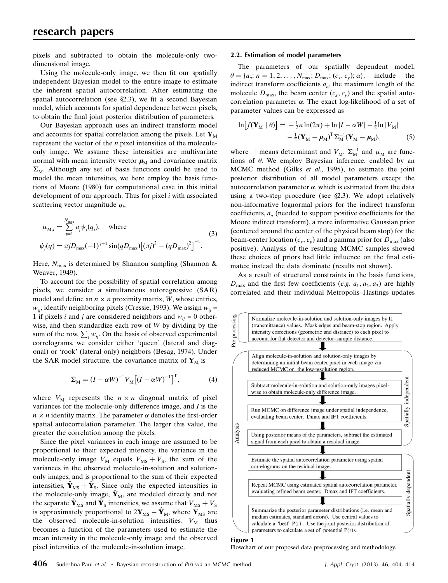pixels and subtracted to obtain the molecule-only twodimensional image.

Using the molecule-only image, we then fit our spatially independent Bayesian model to the entire image to estimate the inherent spatial autocorrelation. After estimating the spatial autocorrelation (see  $\S 2.3$ ), we fit a second Bayesian model, which accounts for spatial dependence between pixels, to obtain the final joint posterior distribution of parameters.

Our Bayesian approach uses an indirect transform model and accounts for spatial correlation among the pixels. Let  $Y_M$ represent the vector of the  $n$  pixel intensities of the moleculeonly image. We assume these intensities are multivariate normal with mean intensity vector  $\mu_M$  and covariance matrix  $\Sigma_M$ . Although any set of basis functions could be used to model the mean intensities, we here employ the basis functions of Moore (1980) for computational ease in this initial development of our approach. Thus for pixel  $i$  with associated scattering vector magnitude  $q_i$ ,

$$
\mu_{\text{M},i} = \sum_{j=1}^{N_{\text{max}}} a_j \psi_j(q_i), \quad \text{where}
$$
\n
$$
\psi_j(q) = \pi j D_{\text{max}} (-1)^{j+1} \sin(q D_{\text{max}}) \left[ (\pi j)^2 - (q D_{\text{max}})^2 \right]^{-1}.
$$
\n(3)

Here,  $N_{\text{max}}$  is determined by Shannon sampling (Shannon & Weaver, 1949).

To account for the possibility of spatial correlation among pixels, we consider a simultaneous autoregressive (SAR) model and define an  $n \times n$  proximity matrix, W, whose entries,  $w_{ii}$ , identify neighboring pixels (Cressie, 1993). We assign  $w_{ii}$  = 1 if pixels *i* and *j* are considered neighbors and  $w_{ii} = 0$  otherwise, and then standardize each row of  $W$  by dividing by the sum of the row,  $\sum_{i} w_{ij}$ . On the basis of observed experimental correlograms, we consider either 'queen' (lateral and diagonal) or 'rook' (lateral only) neighbors (Besag, 1974). Under the SAR model structure, the covariance matrix of  $Y_M$  is

$$
\Sigma_{\mathcal{M}} = (I - \alpha W)^{-1} V_{\mathcal{M}} \left[ (I - \alpha W)^{-1} \right]^{\mathrm{T}}, \tag{4}
$$

where  $V_M$  represents the  $n \times n$  diagonal matrix of pixel variances for the molecule-only difference image, and I is the  $n \times n$  identity matrix. The parameter  $\alpha$  denotes the first-order spatial autocorrelation parameter. The larger this value, the greater the correlation among the pixels.

Since the pixel variances in each image are assumed to be proportional to their expected intensity, the variance in the molecule-only image  $V_M$  equals  $V_{MS} + V_S$ , the sum of the variances in the observed molecule-in-solution and solutiononly images, and is proportional to the sum of their expected intensities,  $\hat{\mathbf{Y}}_{MS} + \hat{\mathbf{Y}}_{S}$ . Since only the expected intensities in the molecule-only image,  $\hat{\mathbf{Y}}_M$ , are modeled directly and not the separate  $\hat{\mathbf{Y}}_{\text{MS}}$  and  $\hat{\mathbf{Y}}_{\text{S}}$  intensities, we assume that  $V_{\text{MS}} + V_{\text{S}}$ is approximately proportional to  $2Y_{MS} - \hat{Y}_M$ , where  $Y_{MS}$  are the observed molecule-in-solution intensities.  $V_M$  thus becomes a function of the parameters used to estimate the mean intensity in the molecule-only image and the observed pixel intensities of the molecule-in-solution image.

#### 2.2. Estimation of model parameters

The parameters of our spatially dependent model,  $\theta = \{a_n: n = 1, 2, \ldots, N_{\text{max}}; D_{\text{max}}; (c_r, c_v); \alpha\}$ , include the indirect transform coefficients  $a_n$ , the maximum length of the molecule  $D_{\text{max}}$ , the beam center  $(c_x, c_y)$  and the spatial autocorrelation parameter  $\alpha$ . The exact log-likelihood of a set of parameter values can be expressed as

$$
\ln[f(\mathbf{Y}_{\mathrm{M}} \mid \theta)] = -\frac{1}{2}n\ln(2\pi) + \ln|I - \alpha W| - \frac{1}{2}\ln|V_{\mathrm{M}}|
$$

$$
-\frac{1}{2}(\mathbf{Y}_{\mathrm{M}} - \mu_{\mathrm{M}})^{\mathrm{T}}\Sigma_{\mathrm{M}}^{-1}(\mathbf{Y}_{\mathrm{M}} - \mu_{\mathrm{M}}), \tag{5}
$$

where  $||$  means determinant and  $V_M$ ,  $\Sigma_M^{-1}$  and  $\mu_M$  are functions of  $\theta$ . We employ Bayesian inference, enabled by an MCMC method (Gilks et al., 1995), to estimate the joint posterior distribution of all model parameters except the autocorrelation parameter  $\alpha$ , which is estimated from the data using a two-step procedure (see  $\S 2.3$ ). We adopt relatively non-informative lognormal priors for the indirect transform coefficients,  $a_n$  (needed to support positive coefficients for the Moore indirect transform), a more informative Gaussian prior (centered around the center of the physical beam stop) for the beam-center location  $(c_x, c_y)$  and a gamma prior for  $D_{\text{max}}$  (also positive). Analysis of the resulting MCMC samples showed these choices of priors had little influence on the final estimates; instead the data dominate (results not shown).

As a result of structural constraints in the basis functions,  $D_{\text{max}}$  and the first few coefficients (e.g.  $a_1, a_2, a_3$ ) are highly correlated and their individual Metropolis–Hastings updates



Flowchart of our proposed data preprocessing and methodology.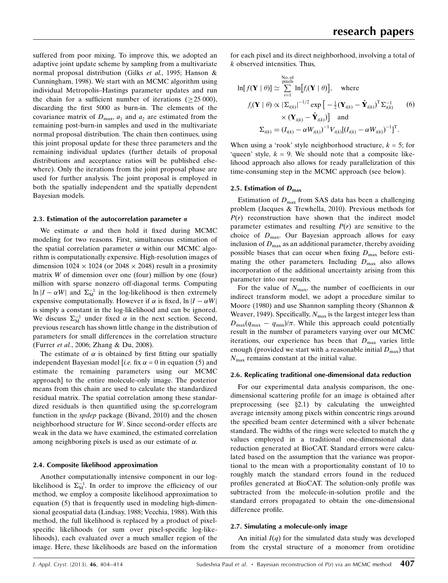suffered from poor mixing. To improve this, we adopted an adaptive joint update scheme by sampling from a multivariate normal proposal distribution (Gilks et al., 1995; Hanson & Cunningham, 1998). We start with an MCMC algorithm using individual Metropolis–Hastings parameter updates and run the chain for a sufficient number of iterations  $(25,000)$ , discarding the first 5000 as burn-in. The elements of the covariance matrix of  $D_{\text{max}}$ ,  $a_1$  and  $a_2$  are estimated from the remaining post-burn-in samples and used in the multivariate normal proposal distribution. The chain then continues, using this joint proposal update for these three parameters and the remaining individual updates (further details of proposal distributions and acceptance ratios will be published elsewhere). Only the iterations from the joint proposal phase are used for further analysis. The joint proposal is employed in both the spatially independent and the spatially dependent Bayesian models.

#### 2.3. Estimation of the autocorrelation parameter  $\alpha$

We estimate  $\alpha$  and then hold it fixed during MCMC modeling for two reasons. First, simultaneous estimation of the spatial correlation parameter  $\alpha$  within our MCMC algorithm is computationally expensive. High-resolution images of dimension  $1024 \times 1024$  (or  $2048 \times 2048$ ) result in a proximity matrix W of dimension over one (four) million by one (four) million with sparse nonzero off-diagonal terms. Computing  $\ln |I - \alpha W|$  and  $\Sigma_M^{-1}$  in the log-likelihood is then extremely expensive computationally. However if  $\alpha$  is fixed,  $\ln |I - \alpha W|$ is simply a constant in the log-likelihood and can be ignored. We discuss  $\Sigma_M^{-1}$  under fixed  $\alpha$  in the next section. Second, previous research has shown little change in the distribution of parameters for small differences in the correlation structure (Furrer et al., 2006; Zhang & Du, 2008).

The estimate of  $\alpha$  is obtained by first fitting our spatially independent Bayesian model [i.e. fix  $\alpha = 0$  in equation (5) and estimate the remaining parameters using our MCMC approach] to the entire molecule-only image. The posterior means from this chain are used to calculate the standardized residual matrix. The spatial correlation among these standardized residuals is then quantified using the sp.correlogram function in the spdep package (Bivand, 2010) and the chosen neighborhood structure for W. Since second-order effects are weak in the data we have examined, the estimated correlation among neighboring pixels is used as our estimate of  $\alpha$ .

#### 2.4. Composite likelihood approximation

Another computationally intensive component in our loglikelihood is  $\Sigma_M^{-1}$ . In order to improve the efficiency of our method, we employ a composite likelihood approximation to equation (5) that is frequently used in modeling high-dimensional geospatial data (Lindsay, 1988; Vecchia, 1988). With this method, the full likelihood is replaced by a product of pixelspecific likelihoods (or sum over pixel-specific log-likelihoods), each evaluated over a much smaller region of the image. Here, these likelihoods are based on the information

for each pixel and its direct neighborhood, involving a total of k observed intensities. Thus,

$$
\ln[f(\mathbf{Y} \mid \theta)] \simeq \sum_{i=1}^{\text{No. of}} \ln[f_i(\mathbf{Y} \mid \theta)], \text{ where}
$$
  

$$
f_i(\mathbf{Y} \mid \theta) \propto |\Sigma_{i(k)}|^{-1/2} \exp\left[-\frac{1}{2}(\mathbf{Y}_{i(k)} - \hat{\mathbf{Y}}_{i(k)})^{\text{T}} \Sigma_{i(k)}^{-1} \right]
$$
(6)  

$$
\times (\mathbf{Y}_{i(k)} - \hat{\mathbf{Y}}_{i(k)}) \text{ and}
$$
  

$$
\Sigma_{i(k)} = (I_{i(k)} - \alpha W_{i(k)})^{-1} V_{i(k)} [(I_{i(k)} - \alpha W_{i(k)})^{-1}]^{\text{T}}.
$$

When using a 'rook' style neighborhood structure,  $k = 5$ ; for 'queen' style,  $k = 9$ . We should note that a composite likelihood approach also allows for ready parallelization of this time-consuming step in the MCMC approach (see below).

#### 2.5. Estimation of  $D_{\text{max}}$

Estimation of  $D_{\text{max}}$  from SAS data has been a challenging problem (Jacques & Trewhella, 2010). Previous methods for  $P(r)$  reconstruction have shown that the indirect model parameter estimates and resulting  $P(r)$  are sensitive to the choice of  $D_{\text{max}}$ . Our Bayesian approach allows for easy inclusion of  $D_{\text{max}}$  as an additional parameter, thereby avoiding possible biases that can occur when fixing  $D_{\text{max}}$  before estimating the other parameters. Including  $D_{\text{max}}$  also allows incorporation of the additional uncertainty arising from this parameter into our results.

For the value of  $N_{\text{max}}$ , the number of coefficients in our indirect transform model, we adopt a procedure similar to Moore (1980) and use Shannon sampling theory (Shannon & Weaver, 1949). Specifically,  $N_{\text{max}}$  is the largest integer less than  $D_{\text{max}}(q_{\text{max}} - q_{\text{min}})/\pi$ . While this approach could potentially result in the number of parameters varying over our MCMC iterations, our experience has been that  $D_{\text{max}}$  varies little enough (provided we start with a reasonable initial  $D_{\text{max}}$ ) that  $N_{\text{max}}$  remains constant at the initial value.

#### 2.6. Replicating traditional one-dimensional data reduction

For our experimental data analysis comparison, the onedimensional scattering profile for an image is obtained after preprocessing (see  $\S 2.1$ ) by calculating the unweighted average intensity among pixels within concentric rings around the specified beam center determined with a silver behenate standard. The widths of the rings were selected to match the  $q$ values employed in a traditional one-dimensional data reduction generated at BioCAT. Standard errors were calculated based on the assumption that the variance was proportional to the mean with a proportionality constant of 10 to roughly match the standard errors found in the reduced profiles generated at BioCAT. The solution-only profile was subtracted from the molecule-in-solution profile and the standard errors propagated to obtain the one-dimensional difference profile.

#### 2.7. Simulating a molecule-only image

An initial  $I(q)$  for the simulated data study was developed from the crystal structure of a monomer from orotidine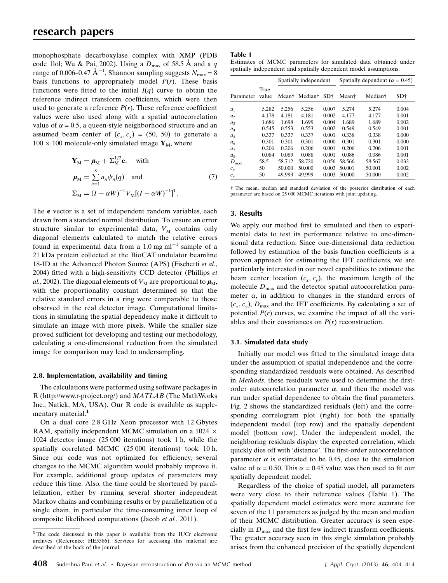monophosphate decarboxylase complex with XMP (PDB code 1lol; Wu & Pai, 2002). Using a  $D_{\text{max}}$  of 58.5 Å and a q range of 0.006–0.47  $\text{\AA}^{-1}$ , Shannon sampling suggests  $N_{\text{max}} = 8$ basis functions to appropriately model  $P(r)$ . These basis functions were fitted to the initial  $I(q)$  curve to obtain the reference indirect transform coefficients, which were then used to generate a reference  $P(r)$ . These reference coefficient values were also used along with a spatial autocorrelation value of  $\alpha = 0.5$ , a queen-style neighborhood structure and an assumed beam center of  $(c_x, c_y) = (50, 50)$  to generate a  $100 \times 100$  molecule-only simulated image  $Y_M$ , where

$$
\mathbf{Y}_{\mathrm{M}} = \boldsymbol{\mu}_{\mathrm{M}} + \boldsymbol{\Sigma}_{\mathrm{M}}^{1/2} \mathbf{e}, \text{ with}
$$
  
\n
$$
\boldsymbol{\mu}_{\mathrm{M}} = \sum_{n=1}^{8} a_n \psi_n(q) \text{ and } (7)
$$
  
\n
$$
\boldsymbol{\Sigma}_{\mathrm{M}} = (I - \alpha W)^{-1} V_{\mathrm{M}} [(I - \alpha W)^{-1}]^{\mathrm{T}}.
$$

The e vector is a set of independent random variables, each drawn from a standard normal distribution. To ensure an error structure similar to experimental data,  $V_M$  contains only diagonal elements calculated to match the relative errors found in experimental data from a 1.0 mg  $ml^{-1}$  sample of a 21 kDa protein collected at the BioCAT undulator beamline 18-ID at the Advanced Photon Source (APS) (Fischetti et al., 2004) fitted with a high-sensitivity CCD detector (Phillips et al., 2002). The diagonal elements of  $V_M$  are proportional to  $\mu_M$ , with the proportionality constant determined so that the relative standard errors in a ring were comparable to those observed in the real detector image. Computational limitations in simulating the spatial dependency make it difficult to simulate an image with more pixels. While the smaller size proved sufficient for developing and testing our methodology, calculating a one-dimensional reduction from the simulated image for comparison may lead to undersampling.

#### 2.8. Implementation, availability and timing

The calculations were performed using software packages in R (http://www.r-project.org/) and MATLAB (The MathWorks Inc., Natick, MA, USA). Our R code is available as supplementary material.<sup>1</sup>

On a dual core 2.8 GHz Xeon processor with 12 Gbytes RAM, spatially independent MCMC simulation on a 1024  $\times$ 1024 detector image (25 000 iterations) took 1 h, while the spatially correlated MCMC (25 000 iterations) took 10 h. Since our code was not optimized for efficiency, several changes to the MCMC algorithm would probably improve it. For example, additional group updates of parameters may reduce this time. Also, the time could be shortened by parallelization, either by running several shorter independent Markov chains and combining results or by parallelization of a single chain, in particular the time-consuming inner loop of composite likelihood computations (Jacob et al., 2011).

#### Table 1

|  | Estimates of MCMC parameters for simulated data obtained under   |  |  |  |
|--|------------------------------------------------------------------|--|--|--|
|  | spatially independent and spatially dependent model assumptions. |  |  |  |

|                  |               | Spatially independent |                     |       | Spatially dependent ( $\alpha = 0.45$ ) |                     |                 |  |
|------------------|---------------|-----------------------|---------------------|-------|-----------------------------------------|---------------------|-----------------|--|
| Parameter        | True<br>value | Mean†                 | Median <sup>†</sup> | $SD+$ | Mean <sup>†</sup>                       | Median <sup>†</sup> | SD <sub>†</sub> |  |
| a <sub>1</sub>   | 5.282         | 5.256                 | 5.256               | 0.007 | 5.274                                   | 5.274               | 0.004           |  |
| a <sub>2</sub>   | 4.178         | 4.181                 | 4.181               | 0.002 | 4.177                                   | 4.177               | 0.001           |  |
| a <sub>3</sub>   | 1.686         | 1.698                 | 1.699               | 0.004 | 1.689                                   | 1.689               | 0.002           |  |
| $a_4$            | 0.545         | 0.553                 | 0.553               | 0.002 | 0.549                                   | 0.549               | 0.001           |  |
| a <sub>5</sub>   | 0.337         | 0.337                 | 0.337               | 0.001 | 0.338                                   | 0.338               | 0.000           |  |
| a <sub>6</sub>   | 0.301         | 0.301                 | 0.301               | 0.000 | 0.301                                   | 0.301               | 0.000           |  |
| a <sub>7</sub>   | 0.206         | 0.206                 | 0.206               | 0.001 | 0.206                                   | 0.206               | 0.001           |  |
| $a_8$            | 0.084         | 0.089                 | 0.088               | 0.001 | 0.086                                   | 0.086               | 0.001           |  |
| $D_{\text{max}}$ | 58.5          | 58.712                | 58.720              | 0.056 | 58.566                                  | 58.567              | 0.032           |  |
| $c_{x}$          | 50            | 50.000                | 50.000              | 0.003 | 50.001                                  | 50.001              | 0.002           |  |
| $c_v$            | 50            | 49.999                | 49.999              | 0.003 | 50.000                                  | 50.000              | 0.002           |  |

† The mean, median and standard deviation of the posterior distribution of each parameter are based on 25 000 MCMC iterations with joint updating.

#### 3. Results

We apply our method first to simulated and then to experimental data to test its performance relative to one-dimensional data reduction. Since one-dimensional data reduction followed by estimation of the basis function coefficients is a proven approach for estimating the IFT coefficients, we are particularly interested in our novel capabilities to estimate the beam center location  $(c_x, c_y)$ , the maximum length of the molecule  $D_{\text{max}}$  and the detector spatial autocorrelation parameter  $\alpha$ , in addition to changes in the standard errors of  $(c_x, c_y)$ ,  $D_{\text{max}}$  and the IFT coefficients. By calculating a set of potential  $P(r)$  curves, we examine the impact of all the variables and their covariances on  $P(r)$  reconstruction.

#### 3.1. Simulated data study

Initially our model was fitted to the simulated image data under the assumption of spatial independence and the corresponding standardized residuals were obtained. As described in Methods, these residuals were used to determine the firstorder autocorrelation parameter  $\alpha$ , and then the model was run under spatial dependence to obtain the final parameters. Fig. 2 shows the standardized residuals (left) and the corresponding correlogram plot (right) for both the spatially independent model (top row) and the spatially dependent model (bottom row). Under the independent model, the neighboring residuals display the expected correlation, which quickly dies off with 'distance'. The first-order autocorrelation parameter  $\alpha$  is estimated to be 0.45, close to the simulation value of  $\alpha = 0.50$ . This  $\alpha = 0.45$  value was then used to fit our spatially dependent model.

Regardless of the choice of spatial model, all parameters were very close to their reference values (Table 1). The spatially dependent model estimates were more accurate for seven of the 11 parameters as judged by the mean and median of their MCMC distribution. Greater accuracy is seen especially in  $D_{\text{max}}$  and the first few indirect transform coefficients. The greater accuracy seen in this single simulation probably arises from the enhanced precision of the spatially dependent

<sup>&</sup>lt;sup>1</sup> The code discussed in this paper is available from the IUCr electronic archives (Reference: HE5586). Services for accessing this material are described at the back of the journal.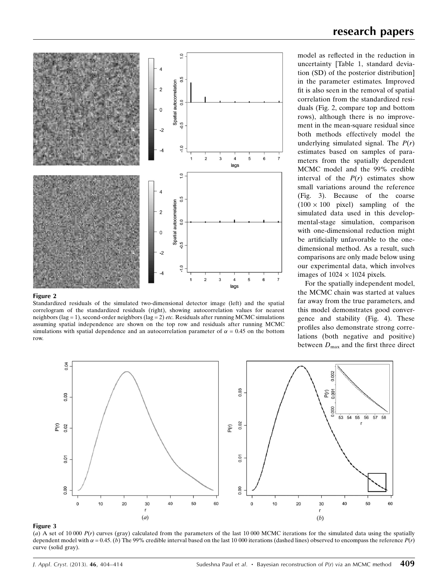

#### Figure 2

Standardized residuals of the simulated two-dimensional detector image (left) and the spatial correlogram of the standardized residuals (right), showing autocorrelation values for nearest neighbors (lag = 1), second-order neighbors (lag = 2) etc. Residuals after running MCMC simulations assuming spatial independence are shown on the top row and residuals after running MCMC simulations with spatial dependence and an autocorrelation parameter of  $\alpha = 0.45$  on the bottom row.

model as reflected in the reduction in uncertainty [Table 1, standard deviation (SD) of the posterior distribution] in the parameter estimates. Improved fit is also seen in the removal of spatial correlation from the standardized residuals (Fig. 2, compare top and bottom

rows), although there is no improvement in the mean-square residual since both methods effectively model the underlying simulated signal. The  $P(r)$ estimates based on samples of parameters from the spatially dependent MCMC model and the 99% credible interval of the  $P(r)$  estimates show small variations around the reference (Fig. 3). Because of the coarse  $(100 \times 100$  pixel) sampling of the simulated data used in this developmental-stage simulation, comparison with one-dimensional reduction might be artificially unfavorable to the onedimensional method. As a result, such comparisons are only made below using our experimental data, which involves images of  $1024 \times 1024$  pixels.

For the spatially independent model, the MCMC chain was started at values far away from the true parameters, and this model demonstrates good convergence and stability (Fig. 4). These profiles also demonstrate strong correlations (both negative and positive) between  $D_{\text{max}}$  and the first three direct



#### Figure 3

(a) A set of 10 000  $P(r)$  curves (gray) calculated from the parameters of the last 10 000 MCMC iterations for the simulated data using the spatially dependent model with  $\alpha = 0.45$ . (b) The 99% credible interval based on the last 10 000 iterations (dashed lines) observed to encompass the reference  $P(r)$ curve (solid gray).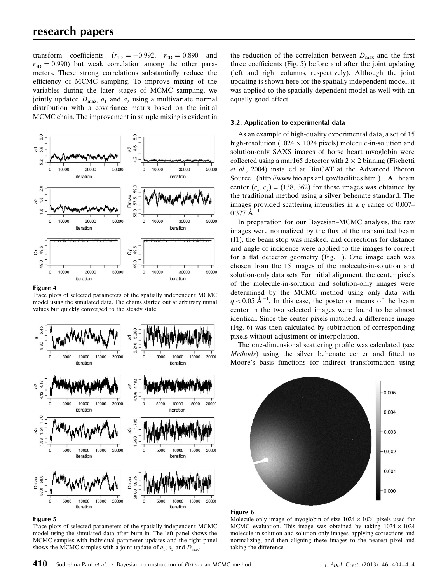transform coefficients  $(r_{1D} = -0.992, r_{2D} = 0.890$  and  $r_{3D} = 0.990$ ) but weak correlation among the other parameters. These strong correlations substantially reduce the efficiency of MCMC sampling. To improve mixing of the variables during the later stages of MCMC sampling, we jointly updated  $D_{\text{max}}$ ,  $a_1$  and  $a_2$  using a multivariate normal distribution with a covariance matrix based on the initial MCMC chain. The improvement in sample mixing is evident in



#### Figure 4

Trace plots of selected parameters of the spatially independent MCMC model using the simulated data. The chains started out at arbitrary initial values but quickly converged to the steady state.



#### Figure 5

Trace plots of selected parameters of the spatially independent MCMC model using the simulated data after burn-in. The left panel shows the MCMC samples with individual parameter updates and the right panel shows the MCMC samples with a joint update of  $a_1$ ,  $a_2$  and  $D_{\text{max}}$ .

the reduction of the correlation between  $D_{\text{max}}$  and the first three coefficients (Fig. 5) before and after the joint updating (left and right columns, respectively). Although the joint updating is shown here for the spatially independent model, it was applied to the spatially dependent model as well with an equally good effect.

#### 3.2. Application to experimental data

As an example of high-quality experimental data, a set of 15 high-resolution (1024  $\times$  1024 pixels) molecule-in-solution and solution-only SAXS images of horse heart myoglobin were collected using a mar165 detector with  $2 \times 2$  binning (Fischetti et al., 2004) installed at BioCAT at the Advanced Photon Source (http://www.bio.aps.anl.gov/facilities.html). A beam center  $(c_x, c_y)$  = (138, 362) for these images was obtained by the traditional method using a silver behenate standard. The images provided scattering intensities in a  $q$  range of 0.007–  $0.377 \text{ Å}^{-1}$ .

In preparation for our Bayesian–MCMC analysis, the raw images were normalized by the flux of the transmitted beam (I1), the beam stop was masked, and corrections for distance and angle of incidence were applied to the images to correct for a flat detector geometry (Fig. 1). One image each was chosen from the 15 images of the molecule-in-solution and solution-only data sets. For initial alignment, the center pixels of the molecule-in-solution and solution-only images were determined by the MCMC method using only data with  $q < 0.05$   $\rm A^{-1}$ . In this case, the posterior means of the beam center in the two selected images were found to be almost identical. Since the center pixels matched, a difference image (Fig. 6) was then calculated by subtraction of corresponding pixels without adjustment or interpolation.

The one-dimensional scattering profile was calculated (see Methods) using the silver behenate center and fitted to Moore's basis functions for indirect transformation using



#### Figure 6

Molecule-only image of myoglobin of size  $1024 \times 1024$  pixels used for MCMC evaluation. This image was obtained by taking  $1024 \times 1024$ molecule-in-solution and solution-only images, applying corrections and normalizing, and then aligning these images to the nearest pixel and taking the difference.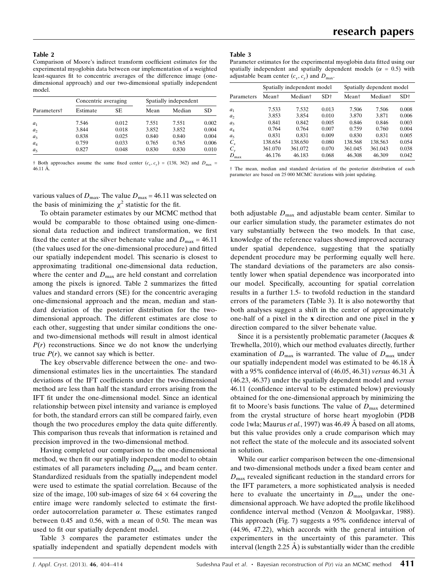Table 2

Comparison of Moore's indirect transform coefficient estimates for the experimental myoglobin data between our implementation of a weighted least-squares fit to concentric averages of the difference image (onedimensional approach) and our two-dimensional spatially independent model.

|                         | Concentric averaging |       | Spatially independent |        |       |  |
|-------------------------|----------------------|-------|-----------------------|--------|-------|--|
| Parameters <sup>†</sup> | Estimate             | SE    | Mean                  | Median | SD    |  |
| $a_1$                   | 7.546                | 0.012 | 7.551                 | 7.551  | 0.002 |  |
| a <sub>2</sub>          | 3.844                | 0.018 | 3.852                 | 3.852  | 0.004 |  |
| $a_3$                   | 0.838                | 0.025 | 0.840                 | 0.840  | 0.004 |  |
| $a_4$                   | 0.759                | 0.033 | 0.765                 | 0.765  | 0.006 |  |
| a <sub>5</sub>          | 0.827                | 0.048 | 0.830                 | 0.830  | 0.010 |  |

† Both approaches assume the same fixed center  $(c_x, c_y) = (138, 362)$  and  $D_{\text{max}} =$  $46.11 \text{ Å}$ .

various values of  $D_{\text{max}}$ . The value  $D_{\text{max}} = 46.11$  was selected on the basis of minimizing the  $\chi^2$  statistic for the fit.

To obtain parameter estimates by our MCMC method that would be comparable to those obtained using one-dimensional data reduction and indirect transformation, we first fixed the center at the silver behenate value and  $D_{\text{max}} = 46.11$ (the values used for the one-dimensional procedure) and fitted our spatially independent model. This scenario is closest to approximating traditional one-dimensional data reduction, where the center and  $D_{\text{max}}$  are held constant and correlation among the pixels is ignored. Table 2 summarizes the fitted values and standard errors (SE) for the concentric averaging one-dimensional approach and the mean, median and standard deviation of the posterior distribution for the twodimensional approach. The different estimates are close to each other, suggesting that under similar conditions the oneand two-dimensional methods will result in almost identical  $P(r)$  reconstructions. Since we do not know the underlying true  $P(r)$ , we cannot say which is better.

The key observable difference between the one- and twodimensional estimates lies in the uncertainties. The standard deviations of the IFT coefficients under the two-dimensional method are less than half the standard errors arising from the IFT fit under the one-dimensional model. Since an identical relationship between pixel intensity and variance is employed for both, the standard errors can still be compared fairly, even though the two procedures employ the data quite differently. This comparison thus reveals that information is retained and precision improved in the two-dimensional method.

Having completed our comparison to the one-dimensional method, we then fit our spatially independent model to obtain estimates of all parameters including  $D_{\text{max}}$  and beam center. Standardized residuals from the spatially independent model were used to estimate the spatial correlation. Because of the size of the image, 100 sub-images of size  $64 \times 64$  covering the entire image were randomly selected to estimate the firstorder autocorrelation parameter  $\alpha$ . These estimates ranged between 0.45 and 0.56, with a mean of 0.50. The mean was used to fit our spatially dependent model.

Table 3 compares the parameter estimates under the spatially independent and spatially dependent models with

#### Table 3

Parameter estimates for the experimental myoglobin data fitted using our spatially independent and spatially dependent models ( $\alpha = 0.5$ ) with adjustable beam center  $(c_x, c_y)$  and  $D_{\text{max}}$ .

|                |                   | Spatially independent model |                 | Spatially dependent model |                     |                 |  |
|----------------|-------------------|-----------------------------|-----------------|---------------------------|---------------------|-----------------|--|
| Parameters     | Mean <sup>†</sup> | Median†                     | SD <sub>†</sub> | Mean†                     | Median <sup>†</sup> | SD <sub>†</sub> |  |
| a <sub>1</sub> | 7.533             | 7.532                       | 0.013           | 7.506                     | 7.506               | 0.008           |  |
| a <sub>2</sub> | 3.853             | 3.854                       | 0.010           | 3.870                     | 3.871               | 0.006           |  |
| a <sub>3</sub> | 0.841             | 0.842                       | 0.005           | 0.846                     | 0.846               | 0.003           |  |
| $a_4$          | 0.764             | 0.764                       | 0.007           | 0.759                     | 0.760               | 0.004           |  |
| a <sub>5</sub> | 0.831             | 0.831                       | 0.009           | 0.830                     | 0.831               | 0.005           |  |
| $C_{r}$        | 138.654           | 138.650                     | 0.080           | 138.568                   | 138.563             | 0.054           |  |
| $C_{v}$        | 361.070           | 361.072                     | 0.070           | 361.045                   | 361.043             | 0.038           |  |
| $D_{\rm max}$  | 46.176            | 46.183                      | 0.068           | 46.308                    | 46.309              | 0.042           |  |

† The mean, median and standard deviation of the posterior distribution of each parameter are based on 25 000 MCMC iterations with joint updating.

both adjustable  $D_{\text{max}}$  and adjustable beam center. Similar to our earlier simulation study, the parameter estimates do not vary substantially between the two models. In that case, knowledge of the reference values showed improved accuracy under spatial dependence, suggesting that the spatially dependent procedure may be performing equally well here. The standard deviations of the parameters are also consistently lower when spatial dependence was incorporated into our model. Specifically, accounting for spatial correlation results in a further 1.5- to twofold reduction in the standard errors of the parameters (Table 3). It is also noteworthy that both analyses suggest a shift in the center of approximately one-half of a pixel in the x direction and one pixel in the y direction compared to the silver behenate value.

Since it is a persistently problematic parameter (Jacques & Trewhella, 2010), which our method evaluates directly, further examination of  $D_{\text{max}}$  is warranted. The value of  $D_{\text{max}}$  under our spatially independent model was estimated to be 46.18 A with a 95% confidence interval of  $(46.05, 46.31)$  versus 46.31  $\AA$ (46.23, 46.37) under the spatially dependent model and versus 46.11 (confidence interval to be estimated below) previously obtained for the one-dimensional approach by minimizing the fit to Moore's basis functions. The value of  $D_{\text{max}}$  determined from the crystal structure of horse heart myoglobin (PDB code 1wla; Maurus et al., 1997) was 46.49  $\AA$  based on all atoms, but this value provides only a crude comparison which may not reflect the state of the molecule and its associated solvent in solution.

While our earlier comparison between the one-dimensional and two-dimensional methods under a fixed beam center and  $D_{\text{max}}$  revealed significant reduction in the standard errors for the IFT parameters, a more sophisticated analysis is needed here to evaluate the uncertainty in  $D_{\text{max}}$  under the onedimensional approach. We have adopted the profile likelihood confidence interval method (Venzon & Moolgavkar, 1988). This approach (Fig. 7) suggests a 95% confidence interval of (44.96, 47.22), which accords with the general intuition of experimenters in the uncertainty of this parameter. This interval (length  $2.25 \text{ Å}$ ) is substantially wider than the credible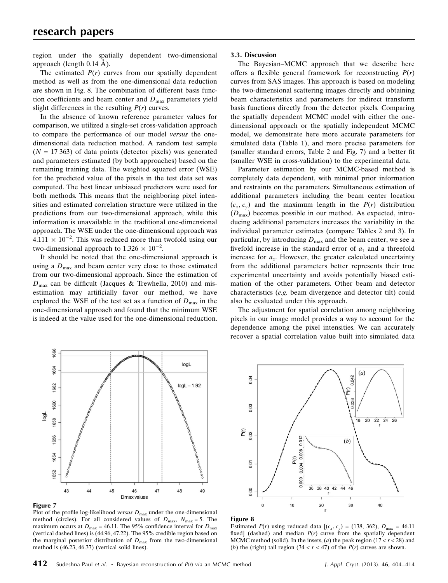region under the spatially dependent two-dimensional approach (length  $0.14 \text{ Å}$ ).

The estimated  $P(r)$  curves from our spatially dependent method as well as from the one-dimensional data reduction are shown in Fig. 8. The combination of different basis function coefficients and beam center and  $D_{\text{max}}$  parameters yield slight differences in the resulting  $P(r)$  curves.

In the absence of known reference parameter values for comparison, we utilized a single-set cross-validation approach to compare the performance of our model versus the onedimensional data reduction method. A random test sample  $(N = 17363)$  of data points (detector pixels) was generated and parameters estimated (by both approaches) based on the remaining training data. The weighted squared error (WSE) for the predicted value of the pixels in the test data set was computed. The best linear unbiased predictors were used for both methods. This means that the neighboring pixel intensities and estimated correlation structure were utilized in the predictions from our two-dimensional approach, while this information is unavailable in the traditional one-dimensional approach. The WSE under the one-dimensional approach was  $4.111 \times 10^{-2}$ . This was reduced more than twofold using our two-dimensional approach to  $1.326 \times 10^{-2}$ .

It should be noted that the one-dimensional approach is using a  $D_{\text{max}}$  and beam center very close to those estimated from our two-dimensional approach. Since the estimation of  $D_{\text{max}}$  can be difficult (Jacques & Trewhella, 2010) and misestimation may artificially favor our method, we have explored the WSE of the test set as a function of  $D_{\text{max}}$  in the one-dimensional approach and found that the minimum WSE is indeed at the value used for the one-dimensional reduction.

#### 3.3. Discussion

The Bayesian–MCMC approach that we describe here offers a flexible general framework for reconstructing  $P(r)$ curves from SAS images. This approach is based on modeling the two-dimensional scattering images directly and obtaining beam characteristics and parameters for indirect transform basis functions directly from the detector pixels. Comparing the spatially dependent MCMC model with either the onedimensional approach or the spatially independent MCMC model, we demonstrate here more accurate parameters for simulated data (Table 1), and more precise parameters for (smaller standard errors, Table 2 and Fig. 7) and a better fit (smaller WSE in cross-validation) to the experimental data.

Parameter estimation by our MCMC-based method is completely data dependent, with minimal prior information and restraints on the parameters. Simultaneous estimation of additional parameters including the beam center location  $(c_x, c_y)$  and the maximum length in the  $P(r)$  distribution  $(D_{\text{max}})$  becomes possible in our method. As expected, introducing additional parameters increases the variability in the individual parameter estimates (compare Tables 2 and 3). In particular, by introducing  $D_{\text{max}}$  and the beam center, we see a fivefold increase in the standard error of  $a_1$  and a threefold increase for  $a_2$ . However, the greater calculated uncertainty from the additional parameters better represents their true experimental uncertainty and avoids potentially biased estimation of the other parameters. Other beam and detector characteristics (e.g. beam divergence and detector tilt) could also be evaluated under this approach.

The adjustment for spatial correlation among neighboring pixels in our image model provides a way to account for the dependence among the pixel intensities. We can accurately recover a spatial correlation value built into simulated data



Figure 7

Plot of the profile log-likelihood versus  $D_{\text{max}}$  under the one-dimensional method (circles). For all considered values of  $D_{\text{max}}$ ,  $N_{\text{max}} = 5$ . The maximum occurs at  $D_{\text{max}}$  = 46.11. The 95% confidence interval for  $D_{\text{max}}$ (vertical dashed lines) is (44.96, 47.22). The 95% credible region based on the marginal posterior distribution of  $D_{\text{max}}$  from the two-dimensional method is (46.23, 46.37) (vertical solid lines).



#### Figure 8

Estimated  $P(r)$  using reduced data  $[(c_x, c_y) = (138, 362), D_{\text{max}} = 46.11]$ fixed] (dashed) and median  $P(r)$  curve from the spatially dependent MCMC method (solid). In the insets, (a) the peak region  $(17 < r < 28)$  and (b) the (right) tail region  $(34 < r < 47)$  of the  $P(r)$  curves are shown.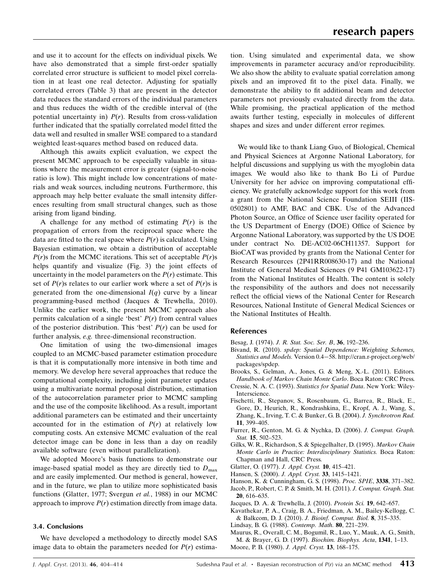and use it to account for the effects on individual pixels. We have also demonstrated that a simple first-order spatially correlated error structure is sufficient to model pixel correlation in at least one real detector. Adjusting for spatially correlated errors (Table 3) that are present in the detector data reduces the standard errors of the individual parameters and thus reduces the width of the credible interval of (the potential uncertainty in)  $P(r)$ . Results from cross-validation further indicated that the spatially correlated model fitted the data well and resulted in smaller WSE compared to a standard weighted least-squares method based on reduced data.

Although this awaits explicit evaluation, we expect the present MCMC approach to be especially valuable in situations where the measurement error is greater (signal-to-noise ratio is low). This might include low concentrations of materials and weak sources, including neutrons. Furthermore, this approach may help better evaluate the small intensity differences resulting from small structural changes, such as those arising from ligand binding.

A challenge for any method of estimating  $P(r)$  is the propagation of errors from the reciprocal space where the data are fitted to the real space where  $P(r)$  is calculated. Using Bayesian estimation, we obtain a distribution of acceptable  $P(r)$ s from the MCMC iterations. This set of acceptable  $P(r)$ s helps quantify and visualize (Fig. 3) the joint effects of uncertainty in the model parameters on the  $P(r)$  estimate. This set of  $P(r)$ s relates to our earlier work where a set of  $P(r)$ s is generated from the one-dimensional  $I(q)$  curve by a linear programming-based method (Jacques & Trewhella, 2010). Unlike the earlier work, the present MCMC approach also permits calculation of a single 'best'  $P(r)$  from central values of the posterior distribution. This 'best'  $P(r)$  can be used for further analysis, e.g. three-dimensional reconstruction.

One limitation of using the two-dimensional images coupled to an MCMC-based parameter estimation procedure is that it is computationally more intensive in both time and memory. We develop here several approaches that reduce the computational complexity, including joint parameter updates using a multivariate normal proposal distribution, estimation of the autocorrelation parameter prior to MCMC sampling and the use of the composite likelihood. As a result, important additional parameters can be estimated and their uncertainty accounted for in the estimation of  $P(r)$  at relatively low computing costs. An extensive MCMC evaluation of the real detector image can be done in less than a day on readily available software (even without parallelization).

We adopted Moore's basis functions to demonstrate our image-based spatial model as they are directly tied to  $D_{\text{max}}$ and are easily implemented. Our method is general, however, and in the future, we plan to utilize more sophisticated basis functions (Glatter, 1977; Svergun et al., 1988) in our MCMC approach to improve  $P(r)$  estimation directly from image data.

#### 3.4. Conclusions

We have developed a methodology to directly model SAS image data to obtain the parameters needed for  $P(r)$  estimation. Using simulated and experimental data, we show improvements in parameter accuracy and/or reproducibility. We also show the ability to evaluate spatial correlation among pixels and an improved fit to the pixel data. Finally, we demonstrate the ability to fit additional beam and detector parameters not previously evaluated directly from the data. While promising, the practical application of the method awaits further testing, especially in molecules of different shapes and sizes and under different error regimes.

We would like to thank Liang Guo, of Biological, Chemical and Physical Sciences at Argonne National Laboratory, for helpful discussions and supplying us with the myoglobin data images. We would also like to thank Bo Li of Purdue University for her advice on improving computational efficiency. We gratefully acknowledge support for this work from a grant from the National Science Foundation SEIII (IIS-0502801) to AMF, BAC and CBK. Use of the Advanced Photon Source, an Office of Science user facility operated for the US Department of Energy (DOE) Office of Science by Argonne National Laboratory, was supported by the US DOE under contract No. DE-AC02-06CH11357. Support for BioCAT was provided by grants from the National Center for Research Resources (2P41RR008630-17) and the National Institute of General Medical Sciences (9 P41 GM103622-17) from the National Institutes of Health. The content is solely the responsibility of the authors and does not necessarily reflect the official views of the National Center for Research Resources, National Institute of General Medical Sciences or the National Institutes of Health.

#### **References**

- Besag, J. (1974). [J. R. Stat. Soc. Ser. B](http://scripts.iucr.org/cgi-bin/cr.cgi?rm=pdfbb&cnor=he5586&bbid=BB1), 36, 192–236.
- Bivand, R. (2010). [spdep: Spatial Dependence: Weighting Schemes,](http://scripts.iucr.org/cgi-bin/cr.cgi?rm=pdfbb&cnor=he5586&bbid=BB2) [Statistics and Models.](http://scripts.iucr.org/cgi-bin/cr.cgi?rm=pdfbb&cnor=he5586&bbid=BB2) Version 0.4[58. http://cran.r-project.org/web/](http://scripts.iucr.org/cgi-bin/cr.cgi?rm=pdfbb&cnor=he5586&bbid=BB2) [packages/spdep.](http://scripts.iucr.org/cgi-bin/cr.cgi?rm=pdfbb&cnor=he5586&bbid=BB2)
- [Brooks, S., Gelman, A., Jones, G. & Meng, X.-L. \(2011\). Editors.](http://scripts.iucr.org/cgi-bin/cr.cgi?rm=pdfbb&cnor=he5586&bbid=BB3) [Handbook of Markov Chain Monte Carlo](http://scripts.iucr.org/cgi-bin/cr.cgi?rm=pdfbb&cnor=he5586&bbid=BB3). Boca Raton: CRC Press.
- Cressie, N. A. C. (1993). [Statistics for Spatial Data](http://scripts.iucr.org/cgi-bin/cr.cgi?rm=pdfbb&cnor=he5586&bbid=BB4). New York: Wiley-[Interscience.](http://scripts.iucr.org/cgi-bin/cr.cgi?rm=pdfbb&cnor=he5586&bbid=BB4)
- [Fischetti, R., Stepanov, S., Rosenbaum, G., Barrea, R., Black, E.,](http://scripts.iucr.org/cgi-bin/cr.cgi?rm=pdfbb&cnor=he5586&bbid=BB5) [Gore, D., Heurich, R., Kondrashkina, E., Kropf, A. J., Wang, S.,](http://scripts.iucr.org/cgi-bin/cr.cgi?rm=pdfbb&cnor=he5586&bbid=BB5) [Zhang, K., Irving, T. C. & Bunker, G. B. \(2004\).](http://scripts.iucr.org/cgi-bin/cr.cgi?rm=pdfbb&cnor=he5586&bbid=BB5) J. Synchrotron Rad. 11[, 399–405.](http://scripts.iucr.org/cgi-bin/cr.cgi?rm=pdfbb&cnor=he5586&bbid=BB5)
- [Furrer, R., Genton, M. G. & Nychka, D. \(2006\).](http://scripts.iucr.org/cgi-bin/cr.cgi?rm=pdfbb&cnor=he5586&bbid=BB6) J. Comput. Graph. Stat. **15**, 502-523.
- [Gilks, W. R., Richardson, S. & Spiegelhalter, D. \(1995\).](http://scripts.iucr.org/cgi-bin/cr.cgi?rm=pdfbb&cnor=he5586&bbid=BB7) Markov Chain [Monte Carlo in Practice: Interdisciplinary Statistics.](http://scripts.iucr.org/cgi-bin/cr.cgi?rm=pdfbb&cnor=he5586&bbid=BB7) Boca Raton: [Chapman and Hall, CRC Press.](http://scripts.iucr.org/cgi-bin/cr.cgi?rm=pdfbb&cnor=he5586&bbid=BB7)
- [Glatter, O. \(1977\).](http://scripts.iucr.org/cgi-bin/cr.cgi?rm=pdfbb&cnor=he5586&bbid=BB8) J. Appl. Cryst. 10, 415–421.
- [Hansen, S. \(2000\).](http://scripts.iucr.org/cgi-bin/cr.cgi?rm=pdfbb&cnor=he5586&bbid=BB9) J. Appl. Cryst. 33, 1415–1421.
- [Hanson, K. & Cunningham, G. S. \(1998\).](http://scripts.iucr.org/cgi-bin/cr.cgi?rm=pdfbb&cnor=he5586&bbid=BB10) Proc. SPIE, 3338, 371–382.
- [Jacob, P., Robert, C. P. & Smith, M. H. \(2011\).](http://scripts.iucr.org/cgi-bin/cr.cgi?rm=pdfbb&cnor=he5586&bbid=BB11) J. Comput. Graph. Stat. 20[, 616–635.](http://scripts.iucr.org/cgi-bin/cr.cgi?rm=pdfbb&cnor=he5586&bbid=BB11)
- [Jacques, D. A. & Trewhella, J. \(2010\).](http://scripts.iucr.org/cgi-bin/cr.cgi?rm=pdfbb&cnor=he5586&bbid=BB12) Protein Sci. 19, 642–657.
- [Kavathekar, P. A., Craig, B. A., Friedman, A. M., Bailey-Kellogg, C.](http://scripts.iucr.org/cgi-bin/cr.cgi?rm=pdfbb&cnor=he5586&bbid=BB13) [& Balkcom, D. J. \(2010\).](http://scripts.iucr.org/cgi-bin/cr.cgi?rm=pdfbb&cnor=he5586&bbid=BB13) J. Bioinf. Comput. Biol. 8, 315–335.
- [Lindsay, B. G. \(1988\).](http://scripts.iucr.org/cgi-bin/cr.cgi?rm=pdfbb&cnor=he5586&bbid=BB14) Contemp. Math. 80, 221–239.
- [Maurus, R., Overall, C. M., Bogumil, R., Luo, Y., Mauk, A. G., Smith,](http://scripts.iucr.org/cgi-bin/cr.cgi?rm=pdfbb&cnor=he5586&bbid=BB41) [M. & Brayer, G. D. \(1997\).](http://scripts.iucr.org/cgi-bin/cr.cgi?rm=pdfbb&cnor=he5586&bbid=BB41) Biochim. Biophys. Acta, 1341, 1–13.
- [Moore, P. B. \(1980\).](http://scripts.iucr.org/cgi-bin/cr.cgi?rm=pdfbb&cnor=he5586&bbid=BB15) J. Appl. Cryst. 13, 168–175.